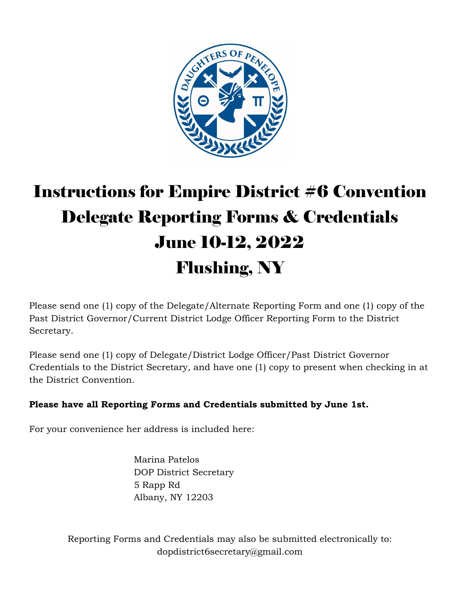

# Instructions for Empire District #6 Convention Delegate Reporting Forms & Credentials June 10-12, 2022 Flushing, NY

Please send one (1) copy of the Delegate/Alternate Reporting Form and one (1) copy of the Past District Governor/Current District Lodge Officer Reporting Form to the District Secretary.

Please send one (1) copy of Delegate/District Lodge Officer/Past District Governor Credentials to the District Secretary, and have one (1) copy to present when checking in at the District Convention.

#### **Please have all Reporting Forms and Credentials submitted by June 1st.**

For your convenience her address is included here:

Marina Patelos DOP District Secretary 5 Rapp Rd Albany, NY 12203

Reporting Forms and Credentials may also be submitted electronically to: dopdistrict6secretary@gmail.com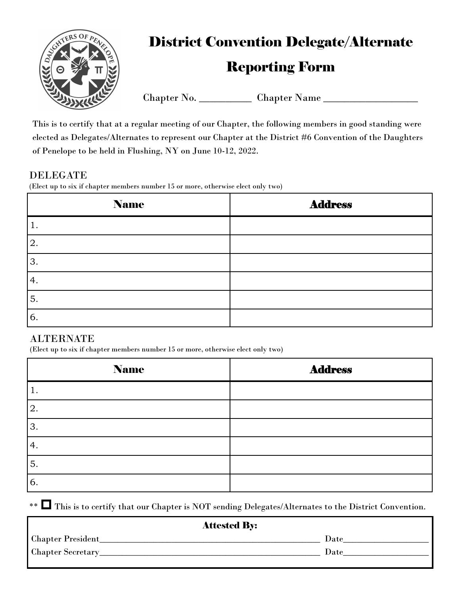

District Convention Delegate/Alternate

## Reporting Form

Chapter No. \_\_\_\_\_\_\_\_\_\_ Chapter Name \_\_\_\_\_\_\_\_\_\_\_\_\_\_\_\_\_\_

This is to certify that at a regular meeting of our Chapter, the following members in good standing were elected as Delegates/Alternates to represent our Chapter at the District #6 Convention of the Daughters of Penelope to be held in Flushing, NY on June 10-12, 2022.

#### DELEGATE

(Elect up to six if chapter members number 15 or more, otherwise elect only two)

| <b>Name</b> | <b>Address</b> |
|-------------|----------------|
| 1.          |                |
| 12.         |                |
| 3.          |                |
| 4.          |                |
| 5.          |                |
| 6.          |                |

#### ALTERNATE

(Elect up to six if chapter members number 15 or more, otherwise elect only two)

| <b>Name</b>    | <b>Address</b> |
|----------------|----------------|
| 1.             |                |
| 2.             |                |
| 3.             |                |
| $\mathbf{A}$ . |                |
| 5.             |                |
| 6.             |                |

\*\* This is to certify that our Chapter is NOT sending Delegates/Alternates to the District Convention.

| <b>Attested By:</b>       |      |
|---------------------------|------|
| <b>Chapter President_</b> | Date |
| <b>Chapter Secretary</b>  | Date |
|                           |      |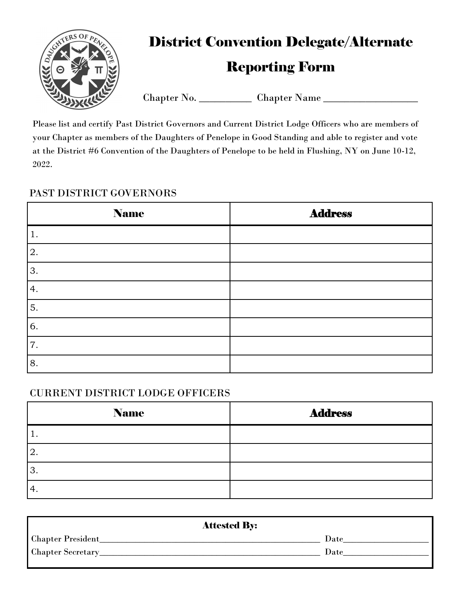

District Convention Delegate/Alternate

## Reporting Form

Chapter No. \_\_\_\_\_\_\_\_\_\_ Chapter Name \_\_\_\_\_\_\_\_\_\_\_\_\_\_\_\_\_\_

Please list and certify Past District Governors and Current District Lodge Officers who are members of your Chapter as members of the Daughters of Penelope in Good Standing and able to register and vote at the District #6 Convention of the Daughters of Penelope to be held in Flushing, NY on June 10-12, 2022.

### PAST DISTRICT GOVERNORS

| <b>Name</b> | <b>Address</b> |
|-------------|----------------|
| 1.          |                |
| 2.          |                |
| 3.          |                |
| 4.          |                |
| 5.          |                |
| 6.          |                |
| 7.          |                |
| 8.          |                |

#### CURRENT DISTRICT LODGE OFFICERS

| <b>Name</b>   | <b>Address</b> |
|---------------|----------------|
| ᆠ.            |                |
| <sup>2.</sup> |                |
| 3.            |                |
| 4.            |                |

| <b>Attested By:</b>       |      |
|---------------------------|------|
| <b>Chapter President_</b> | Date |
| <b>Chapter Secretary_</b> | Date |
|                           |      |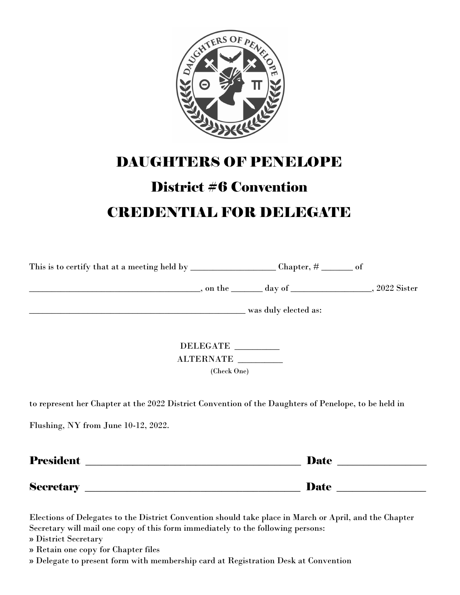

### DAUGHTERS OF PENELOPE

# District #6 Convention CREDENTIAL FOR DELEGATE

This is to certify that at a meeting held by \_\_\_\_\_\_\_\_\_\_\_\_\_\_\_\_\_\_\_ Chapter, # \_\_\_\_\_\_\_ of

\_\_\_\_\_\_\_\_\_\_\_\_\_\_\_\_\_\_\_\_\_\_\_\_\_\_\_\_\_\_\_\_\_\_\_\_\_\_, on the \_\_\_\_\_\_\_ day of \_\_\_\_\_\_\_\_\_\_\_\_\_\_\_\_\_\_, 2022 Sister

\_\_\_\_\_\_\_\_\_\_\_\_\_\_\_\_\_\_\_\_\_\_\_\_\_\_\_\_\_\_\_\_\_\_\_\_\_\_\_\_\_\_\_\_\_\_\_\_ was duly elected as:

DELEGATE \_\_\_\_\_\_\_\_\_\_ ALTERNATE \_\_\_\_\_\_\_\_\_\_ (Check One)

to represent her Chapter at the 2022 District Convention of the Daughters of Penelope, to be held in

Flushing, NY from June 10-12, 2022.

| <b>President</b> | Date |  |
|------------------|------|--|
| <b>Secretary</b> | Date |  |
|                  |      |  |

Elections of Delegates to the District Convention should take place in March or April, and the Chapter Secretary will mail one copy of this form immediately to the following persons:

» District Secretary

» Retain one copy for Chapter files

» Delegate to present form with membership card at Registration Desk at Convention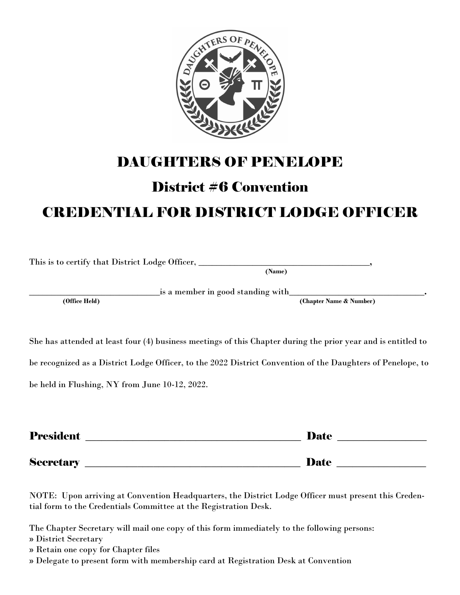

## DAUGHTERS OF PENELOPE

### District #6 Convention

# CREDENTIAL FOR DISTRICT LODGE OFFICER

This is to certify that District Lodge Officer, **\_\_\_\_\_\_\_\_\_\_\_\_\_\_\_\_\_\_\_\_\_\_\_\_\_\_\_\_\_\_\_\_\_\_\_\_\_\_,**

 **(Name)**

 **(Office Held) (Chapter Name & Number)**

She has attended at least four (4) business meetings of this Chapter during the prior year and is entitled to

\_\_\_\_\_\_\_\_\_\_\_\_\_\_\_\_\_\_\_\_\_\_\_\_\_\_\_\_\_is a member in good standing with**\_\_\_\_\_\_\_\_\_\_\_\_\_\_\_\_\_\_\_\_\_\_\_\_\_\_\_\_\_\_.**

be recognized as a District Lodge Officer, to the 2022 District Convention of the Daughters of Penelope, to

be held in Flushing, NY from June 10-12, 2022.

| <b>President</b> | Date |
|------------------|------|
|                  |      |
| <b>Secretary</b> | Date |

NOTE: Upon arriving at Convention Headquarters, the District Lodge Officer must present this Credential form to the Credentials Committee at the Registration Desk.

The Chapter Secretary will mail one copy of this form immediately to the following persons:

» District Secretary

» Retain one copy for Chapter files

» Delegate to present form with membership card at Registration Desk at Convention